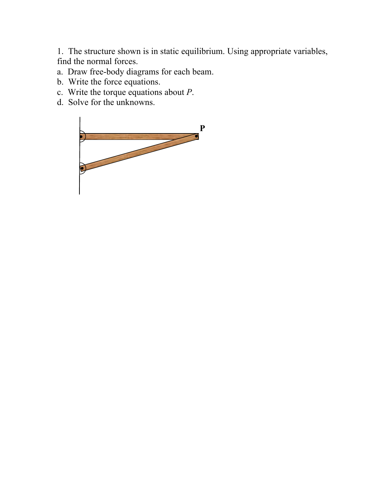1. The structure shown is in static equilibrium. Using appropriate variables, find the normal forces.

- a. Draw free-body diagrams for each beam.
- b. Write the force equations.
- c. Write the torque equations about *P*.
- d. Solve for the unknowns.

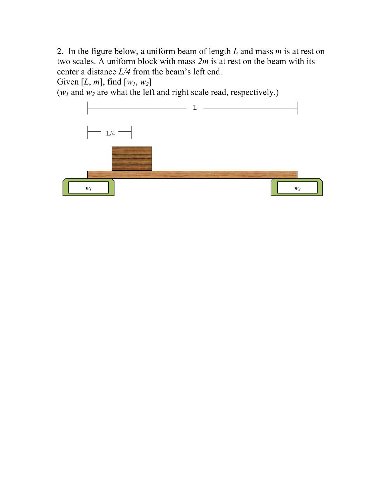2. In the figure below, a uniform beam of length *L* and mass *m* is at rest on two scales. A uniform block with mass *2m* is at rest on the beam with its center a distance *L/4* from the beam's left end.

Given [ $L$ ,  $m$ ], find  $[w_1, w_2]$ 

 $(w_1 \text{ and } w_2 \text{ are what the left and right scale read, respectively.)$ 

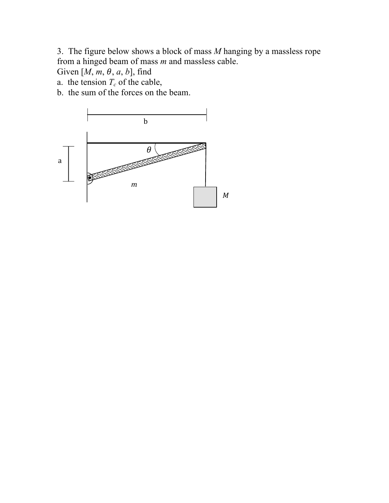3. The figure below shows a block of mass *M* hanging by a massless rope from a hinged beam of mass *m* and massless cable.

Given  $[M, m, \theta, a, b]$ , find

a. the tension  $T_c$  of the cable,

b. the sum of the forces on the beam.

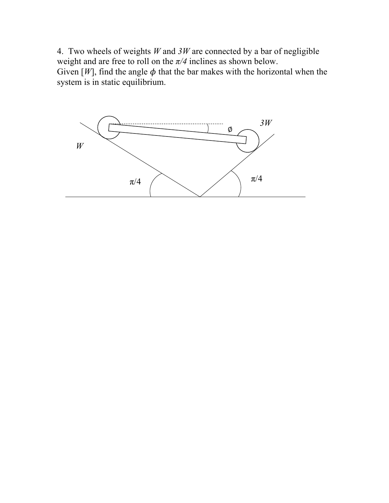4. Two wheels of weights *W* and *3W* are connected by a bar of negligible weight and are free to roll on the *π/4* inclines as shown below. Given  $[W]$ , find the angle  $\phi$  that the bar makes with the horizontal when the system is in static equilibrium.

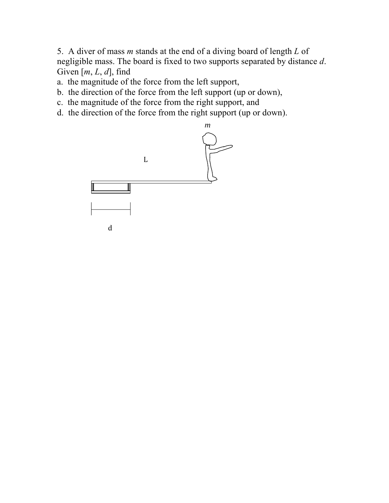5. A diver of mass *m* stands at the end of a diving board of length *L* of negligible mass. The board is fixed to two supports separated by distance *d*. Given [*m*, *L*, *d*], find

- a. the magnitude of the force from the left support,
- b. the direction of the force from the left support (up or down),
- c. the magnitude of the force from the right support, and
- d. the direction of the force from the right support (up or down).

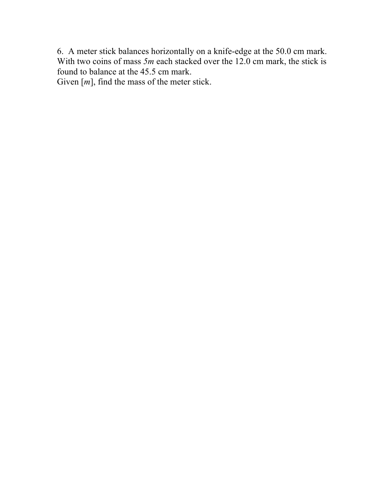6. A meter stick balances horizontally on a knife-edge at the 50.0 cm mark. With two coins of mass 5*m* each stacked over the 12.0 cm mark, the stick is found to balance at the 45.5 cm mark.

Given [*m*], find the mass of the meter stick.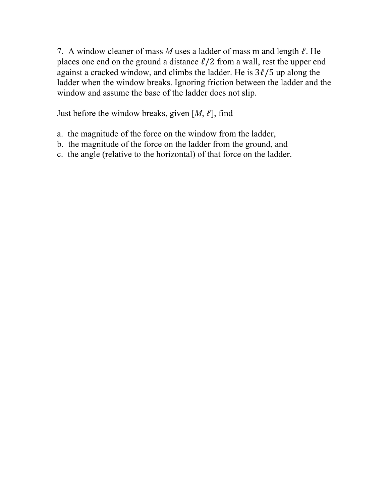7. A window cleaner of mass *M* uses a ladder of mass m and length ℓ. He places one end on the ground a distance  $\ell/2$  from a wall, rest the upper end against a cracked window, and climbs the ladder. He is  $3\ell/5$  up along the ladder when the window breaks. Ignoring friction between the ladder and the window and assume the base of the ladder does not slip.

Just before the window breaks, given  $[M, \ell]$ , find

- a. the magnitude of the force on the window from the ladder,
- b. the magnitude of the force on the ladder from the ground, and
- c. the angle (relative to the horizontal) of that force on the ladder.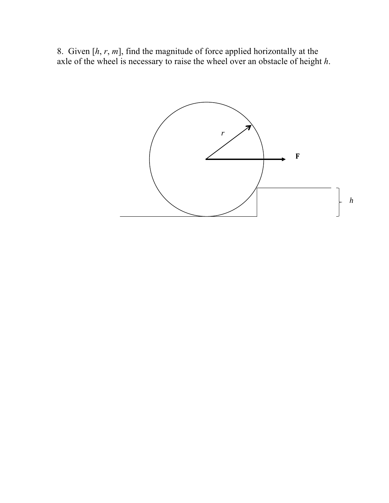8. Given [*h*, *r*, *m*], find the magnitude of force applied horizontally at the axle of the wheel is necessary to raise the wheel over an obstacle of height *h*.